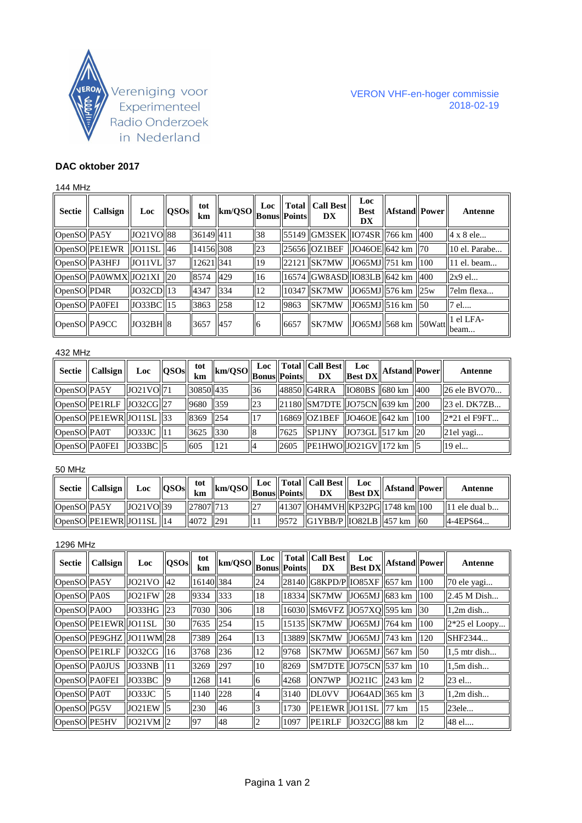

# **DAC oktober 2017**

## 144 MHz

| Sectie        | Callsign                     | Loc          | QSOs | tot<br>km | $\ \text{km/QSO}\ _{\text{Bonus}}^{\text{Loc}}\ \text{Total}\ _{\text{Points}}$ |    |      | <b>Total   Call Best   </b><br><b>DX</b> | Loc<br><b>Best</b><br>DX                                            | <b>Afstand</b> Power | Antenne                 |
|---------------|------------------------------|--------------|------|-----------|---------------------------------------------------------------------------------|----|------|------------------------------------------|---------------------------------------------------------------------|----------------------|-------------------------|
| OpenSO PA5Y   |                              | JO21VO 88    |      | 36149 411 |                                                                                 | 38 |      | 55149 GM3SEK IO74SR 766 km   400         |                                                                     |                      | 4 x 8 ele               |
|               | OpenSO PE1EWR                | JO11SL 46    |      | 14156 308 |                                                                                 | 23 |      | 25656 OZ1BEF                             | $ JO460E $ 642 km   70                                              |                      | 10 el. Parabe           |
| OpenSO PA3HFJ |                              | $JO11VL$ 37  |      | 12621 341 |                                                                                 | 19 |      | 22121 SK7MW                              | $ JO65MJ 751$ km $ 100$                                             |                      | $\parallel$ 11 el. beam |
|               | $\log_{10}$ PA0WMX JO21XI 20 |              |      | 8574      | 429                                                                             | 16 |      | 16574 GW8ASD 1083LB 642 km 400           |                                                                     |                      | $2x9$ el                |
| OpenSO PD4R   |                              | $JO32CD$ 13  |      | 4347      | 1334                                                                            | 12 |      | 10347 SK7MW                              | $ JO65MJ 576$ km $ 25w$                                             |                      | 7elm flexa              |
| OpenSO PA0FEI |                              | $JO33BC$  15 |      | 3863      | 258                                                                             | 12 | 9863 | SK7MW                                    | $\left  \right $ JO65MJ $\left  516 \right $ km $\left  50 \right $ |                      | 7 el                    |
| OpenSO PA9CC  |                              | JO32BH       |      | 3657      | 1457                                                                            |    | 6657 | <b>SK7MW</b>                             | $\ \text{JO65MJ}\ $ 568 km $\ \text{50Watt}\ $ beam                 |                      | 1 el LFA-               |

#### 432 MHz

|             | $\parallel$ Sectie $\parallel$ Callsign $\parallel$ | Loc                      | QSOs | tot<br>km |             |                          |      | $\left\ \text{km/QSO}\right\ \text{Loc}\left\ \text{Total}\right\ \text{Call Best}\left\ \text{Loc}\right\ \text{Afstand}\left\ \text{Power}\right\ $       |  | Antenne                  |
|-------------|-----------------------------------------------------|--------------------------|------|-----------|-------------|--------------------------|------|-------------------------------------------------------------------------------------------------------------------------------------------------------------|--|--------------------------|
| OpenSO PA5Y |                                                     | $JO21VO$ 71              |      | 30850 435 |             | 36                       |      | $\left  \frac{48850}{\text{G4RRA}} \right  \left  \frac{1080}{\text{BS}} \right  \left  \frac{680}{\text{km}} \right  \left  \frac{400}{\text{kg}} \right $ |  | 26 ele BVO70             |
|             | $\overline{OpenSO PE1RLF J032CG 27}$                |                          |      | 9680 359  |             | 23                       |      | $\left 21180\right \right $ SM7DTE $\left 075CN\right $ 639 km $\left 200\right $                                                                           |  | 23 el. DK7ZB             |
|             | OpenSO PE1EWR JO11SL 33                             |                          |      | 8369 254  |             | $\vert$ 17               |      | $\left\vert \right\vert$ 16869 $\left\vert \right\vert$ OZ1BEF $\left\vert \right\vert$ JO46OE $\left\vert \right\vert$ 642 km $\left\vert \right\vert$ 100 |  | $\parallel$ 2*21 el F9FT |
| OpenSO PA0T |                                                     | $JO33JC$   11            |      | 3625 330  |             | $\parallel$ <sub>8</sub> | 7625 | SP1JNY  JO73GL  517 km  20                                                                                                                                  |  | 21el yagi                |
|             | OpenSO PA0FEI                                       | $\vert$ JO33BC $\vert$ 5 |      | 605       | $\vert$ 121 | $\parallel$              | 2605 | PE1HWO  JO21GV  172 km   5                                                                                                                                  |  | 19 el                    |

### 50 MHz

|             | Sectie    Callsign                                      | Loc       | OSOs | tot       | $\lim_{n \to \infty}$ $\  \text{km/QSO} \ _{\text{Bonus}}$ $\  \text{Points} \ $ |     | Loc    Total    Call Best    Loc<br>$\mathbf{D}\mathbf{X}$                                      | $\sim$ $\mathbf{v}$ $\mathbf{g}_{\text{est DX}}$ Afstand Power |  | Antenne                   |
|-------------|---------------------------------------------------------|-----------|------|-----------|----------------------------------------------------------------------------------|-----|-------------------------------------------------------------------------------------------------|----------------------------------------------------------------|--|---------------------------|
| OpenSO PA5Y |                                                         | JO21VO 39 |      | 27807 713 |                                                                                  | 127 | $\left  \frac{41307}{\text{OH4MVH}} \right $ KP32PG $\left  \frac{1748}{\text{km}} \right $ 100 |                                                                |  | $\parallel$ 11 ele dual b |
|             | $\vert$ OpenSO $\vert$ PE1EWR $\vert$ JO11SL $\vert$ 14 |           |      | 4072 291  |                                                                                  |     | $\left  G1YBB/P \right $   1082LB   457 km   60                                                 |                                                                |  | $ 4 - 4EPS64 $            |

### 1296 MHz

| <b>Sectie</b> | <b>Callsign</b>                      | Loc              | QSOs           | tot<br>km | km/QSO | Loc<br>Bonus Points |      | <b>Total   Call Best</b><br>DX         | Loc<br><b>Best DX</b>     | <b>Afstand</b> Power |                  | Antenne         |
|---------------|--------------------------------------|------------------|----------------|-----------|--------|---------------------|------|----------------------------------------|---------------------------|----------------------|------------------|-----------------|
| OpenSO PA5Y   |                                      | $JO21VO$ 42      |                | 16140 384 |        | 24                  |      | $  28140  $ G8KPD/P $  1085XF  657$ km |                           |                      | 100              | 70 ele yagi     |
| OpenSO PA0S   |                                      | <b>JO21FW 28</b> |                | 9334      | 333    | <sup>18</sup>       |      | 18334 SK7MW                            | JO65MJ   683 km           |                      | 100              | 2.45 M Dish     |
| OpenSO PA0O   |                                      | JO33HG 23        |                | 7030      | 306    | <sup>18</sup>       |      | 16030 SM6VFZ JO57XQ 595 km             |                           |                      | $\parallel$ 30   | $1,2m$ dish     |
|               | OpenSO PE1EWR JO11SL                 |                  | $ 30\rangle$   | 7635      | 254    | <sup>15</sup>       |      | 15135 SK7MW                            | JO65MJ   764 km           |                      | 100              | $2*25$ el Loopy |
|               | $\overline{OpenSO PE9GHZ JO11WM 28}$ |                  |                | 7389      | 264    | 13                  |      | 13889 SK7MW                            | JO65MJ $\parallel$ 743 km |                      | 120              | SHF2344         |
|               | OpenSO PE1RLF                        | JO32CG 16        |                | 3768      | 236    | <sup>12</sup>       | 9768 | SK7MW                                  | JO65MJ 567 km             |                      | II <sub>50</sub> | $1.5$ mtr dish  |
|               | OpenSO PA0JUS                        | JO33NB           | $\parallel$ 11 | 3269      | 297    | <b>10</b>           | 8269 | SM7DTE JO75CN 537 km                   |                           |                      | 10               | $1.5m$ dish     |
| OpenSO PA0FEI |                                      | JO33BC           | - 19           | 1268      | 141    | 16                  | 4268 | <b>ON7WP</b>                           | JO21IC                    | $243 \text{ km}$     | 112              | 23 el           |
| OpenSO PA0T   |                                      | JO33JC           | ll5            | 1140      | 228    | 14                  | 3140 | <b>DLOVV</b>                           | $JO64AD$ 365 km           |                      | ll3              | $1,2m$ dish     |
| OpenSO PG5V   |                                      | $JO21EW$ 5       |                | 230       | 46     | 13                  | 1730 | PE1EWR   JO11SL                        |                           | $177 \text{ km}$     | 15               | 23ele           |
| OpenSO PE5HV  |                                      | $JO21VM$   2     |                | 197       | 48     | $\overline{2}$      | 1097 | <b>PE1RLF</b>                          | JO32CG 88 km              |                      |                  | 48 el           |